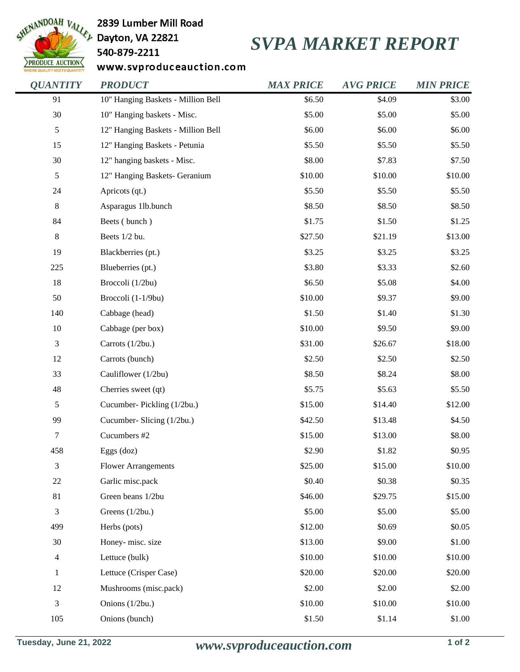

2839 Lumber Mill Road

## 540-879-2211

## *SVPA MARKET REPORT*

www.svproduceauction.com

| <b>OUANTITY</b> | <b>PRODUCT</b>                     | <b>MAX PRICE</b> | <b>AVG PRICE</b> | <b>MIN PRICE</b> |
|-----------------|------------------------------------|------------------|------------------|------------------|
| 91              | 10" Hanging Baskets - Million Bell | \$6.50           | \$4.09           | \$3.00           |
| 30              | 10" Hanging baskets - Misc.        | \$5.00           | \$5.00           | \$5.00           |
| 5               | 12" Hanging Baskets - Million Bell | \$6.00           | \$6.00           | \$6.00           |
| 15              | 12" Hanging Baskets - Petunia      | \$5.50           | \$5.50           | \$5.50           |
| 30              | 12" hanging baskets - Misc.        | \$8.00           | \$7.83           | \$7.50           |
| 5               | 12" Hanging Baskets- Geranium      | \$10.00          | \$10.00          | \$10.00          |
| 24              | Apricots (qt.)                     | \$5.50           | \$5.50           | \$5.50           |
| $8\,$           | Asparagus 1lb.bunch                | \$8.50           | \$8.50           | \$8.50           |
| 84              | Beets (bunch)                      | \$1.75           | \$1.50           | \$1.25           |
| 8               | Beets 1/2 bu.                      | \$27.50          | \$21.19          | \$13.00          |
| 19              | Blackberries (pt.)                 | \$3.25           | \$3.25           | \$3.25           |
| 225             | Blueberries (pt.)                  | \$3.80           | \$3.33           | \$2.60           |
| 18              | Broccoli (1/2bu)                   | \$6.50           | \$5.08           | \$4.00           |
| 50              | Broccoli (1-1/9bu)                 | \$10.00          | \$9.37           | \$9.00           |
| 140             | Cabbage (head)                     | \$1.50           | \$1.40           | \$1.30           |
| $10\,$          | Cabbage (per box)                  | \$10.00          | \$9.50           | \$9.00           |
| 3               | Carrots (1/2bu.)                   | \$31.00          | \$26.67          | \$18.00          |
| 12              | Carrots (bunch)                    | \$2.50           | \$2.50           | \$2.50           |
| 33              | Cauliflower (1/2bu)                | \$8.50           | \$8.24           | \$8.00           |
| 48              | Cherries sweet (qt)                | \$5.75           | \$5.63           | \$5.50           |
| 5               | Cucumber-Pickling (1/2bu.)         | \$15.00          | \$14.40          | \$12.00          |
| 99              | Cucumber- Slicing (1/2bu.)         | \$42.50          | \$13.48          | \$4.50           |
| 7               | Cucumbers #2                       | \$15.00          | \$13.00          | \$8.00           |
| 458             | Eggs (doz)                         | \$2.90           | \$1.82           | \$0.95           |
| 3               | <b>Flower Arrangements</b>         | \$25.00          | \$15.00          | \$10.00          |
| $22\,$          | Garlic misc.pack                   | \$0.40           | \$0.38           | \$0.35           |
| 81              | Green beans 1/2bu                  | \$46.00          | \$29.75          | \$15.00          |
| 3               | Greens (1/2bu.)                    | \$5.00           | \$5.00           | \$5.00           |
| 499             | Herbs (pots)                       | \$12.00          | \$0.69           | \$0.05           |
| 30              | Honey-misc. size                   | \$13.00          | \$9.00           | \$1.00           |
| 4               | Lettuce (bulk)                     | \$10.00          | \$10.00          | \$10.00          |
| $\mathbf{1}$    | Lettuce (Crisper Case)             | \$20.00          | \$20.00          | \$20.00          |
| 12              | Mushrooms (misc.pack)              | \$2.00           | \$2.00           | \$2.00           |
| 3               | Onions (1/2bu.)                    | \$10.00          | \$10.00          | \$10.00          |
| 105             | Onions (bunch)                     | \$1.50           | \$1.14           | \$1.00           |
|                 |                                    |                  |                  |                  |